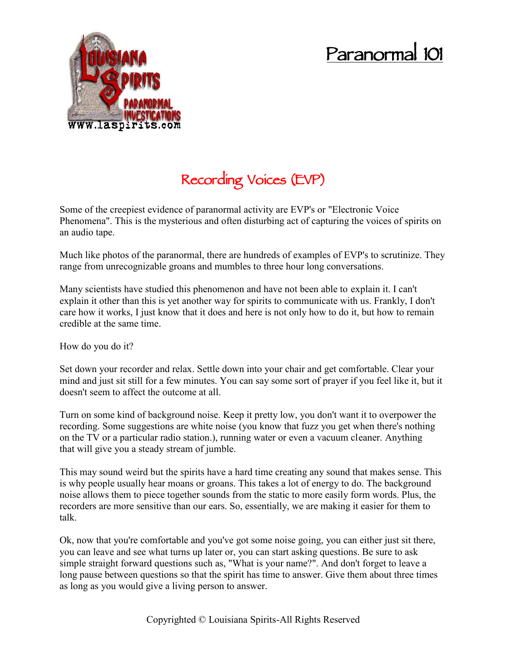## **Paranormal 101**



## **Recording Voices (EVP)**

Some of the creepiest evidence of paranormal activity are EVP's or "Electronic Voice Phenomena". This is the mysterious and often disturbing act of capturing the voices of spirits on an audio tape.

Much like photos of the paranormal, there are hundreds of examples of EVP's to scrutinize. They range from unrecognizable groans and mumbles to three hour long conversations.

Many scientists have studied this phenomenon and have not been able to explain it. I can't explain it other than this is yet another way for spirits to communicate with us. Frankly, I don't care how it works, I just know that it does and here is not only how to do it, but how to remain credible at the same time.

How do you do it?

Set down your recorder and relax. Settle down into your chair and get comfortable. Clear your mind and just sit still for a few minutes. You can say some sort of prayer if you feel like it, but it doesn't seem to affect the outcome at all.

Turn on some kind of background noise. Keep it pretty low, you don't want it to overpower the recording. Some suggestions are white noise (you know that fuzz you get when there's nothing on the TV or a particular radio station.), running water or even a vacuum cleaner. Anything that will give you a steady stream of jumble.

This may sound weird but the spirits have a hard time creating any sound that makes sense. This is why people usually hear moans or groans. This takes a lot of energy to do. The background noise allows them to piece together sounds from the static to more easily form words. Plus, the recorders are more sensitive than our ears. So, essentially, we are making it easier for them to talk.

Ok, now that you're comfortable and you've got some noise going, you can either just sit there, you can leave and see what turns up later or, you can start asking questions. Be sure to ask simple straight forward questions such as, "What is your name?". And don't forget to leave a long pause between questions so that the spirit has time to answer. Give them about three times as long as you would give a living person to answer.